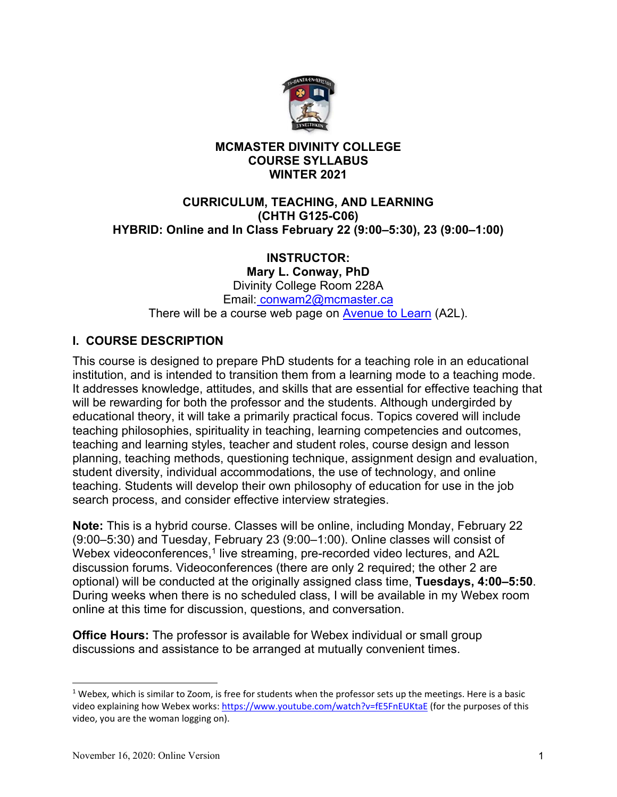

# **MCMASTER DIVINITY COLLEGE COURSE SYLLABUS WINTER 2021**

## **CURRICULUM, TEACHING, AND LEARNING (CHTH G125-C06) HYBRID: Online and In Class February 22 (9:00–5:30), 23 (9:00–1:00)**

# **INSTRUCTOR:**

**Mary L. Conway, PhD**  Divinity College Room 228A Email: conwam2@mcmaster.ca There will be a course web page on Avenue to Learn (A2L).

# **I. COURSE DESCRIPTION**

This course is designed to prepare PhD students for a teaching role in an educational institution, and is intended to transition them from a learning mode to a teaching mode. It addresses knowledge, attitudes, and skills that are essential for effective teaching that will be rewarding for both the professor and the students. Although undergirded by educational theory, it will take a primarily practical focus. Topics covered will include teaching philosophies, spirituality in teaching, learning competencies and outcomes, teaching and learning styles, teacher and student roles, course design and lesson planning, teaching methods, questioning technique, assignment design and evaluation, student diversity, individual accommodations, the use of technology, and online teaching. Students will develop their own philosophy of education for use in the job search process, and consider effective interview strategies.

**Note:** This is a hybrid course. Classes will be online, including Monday, February 22 (9:00–5:30) and Tuesday, February 23 (9:00–1:00). Online classes will consist of Webex videoconferences,<sup>1</sup> live streaming, pre-recorded video lectures, and A2L discussion forums. Videoconferences (there are only 2 required; the other 2 are optional) will be conducted at the originally assigned class time, **Tuesdays, 4:00–5:50**. During weeks when there is no scheduled class, I will be available in my Webex room online at this time for discussion, questions, and conversation.

**Office Hours:** The professor is available for Webex individual or small group discussions and assistance to be arranged at mutually convenient times.

 $1$  Webex, which is similar to Zoom, is free for students when the professor sets up the meetings. Here is a basic video explaining how Webex works: https://www.youtube.com/watch?v=fE5FnEUKtaE (for the purposes of this video, you are the woman logging on).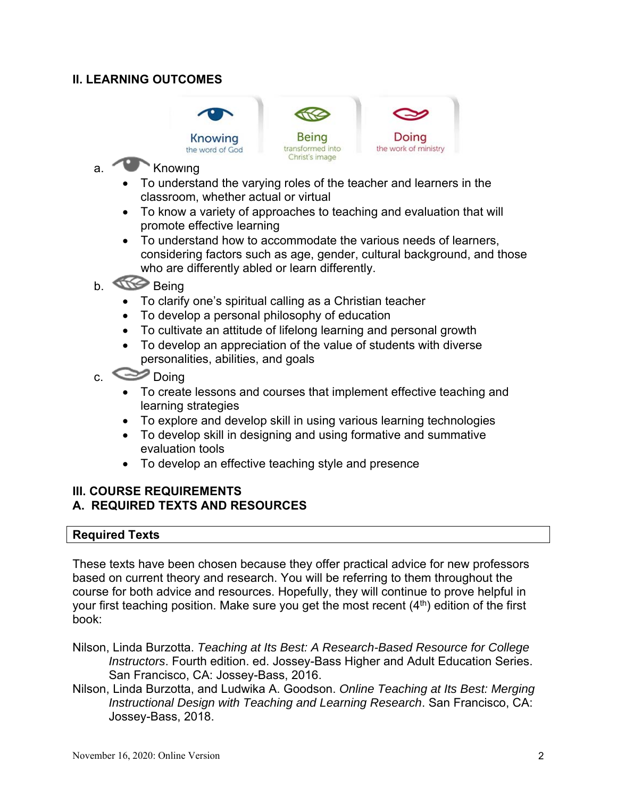# **II. LEARNING OUTCOMES**





- a. Knowing
	- To understand the varying roles of the teacher and learners in the classroom, whether actual or virtual

Christ's image

- To know a variety of approaches to teaching and evaluation that will promote effective learning
- To understand how to accommodate the various needs of learners, considering factors such as age, gender, cultural background, and those who are differently abled or learn differently.
- b. **Being** 
	- To clarify one's spiritual calling as a Christian teacher
	- To develop a personal philosophy of education
	- To cultivate an attitude of lifelong learning and personal growth
	- To develop an appreciation of the value of students with diverse personalities, abilities, and goals
- $c.$   $\bullet$  Doing
	- To create lessons and courses that implement effective teaching and learning strategies
	- To explore and develop skill in using various learning technologies
	- To develop skill in designing and using formative and summative evaluation tools
	- To develop an effective teaching style and presence

### **III. COURSE REQUIREMENTS A. REQUIRED TEXTS AND RESOURCES**

### **Required Texts**

These texts have been chosen because they offer practical advice for new professors based on current theory and research. You will be referring to them throughout the course for both advice and resources. Hopefully, they will continue to prove helpful in your first teaching position. Make sure you get the most recent  $(4<sup>th</sup>)$  edition of the first book:

- Nilson, Linda Burzotta. *Teaching at Its Best: A Research-Based Resource for College Instructors*. Fourth edition. ed. Jossey-Bass Higher and Adult Education Series. San Francisco, CA: Jossey-Bass, 2016.
- Nilson, Linda Burzotta, and Ludwika A. Goodson. *Online Teaching at Its Best: Merging Instructional Design with Teaching and Learning Research*. San Francisco, CA: Jossey-Bass, 2018.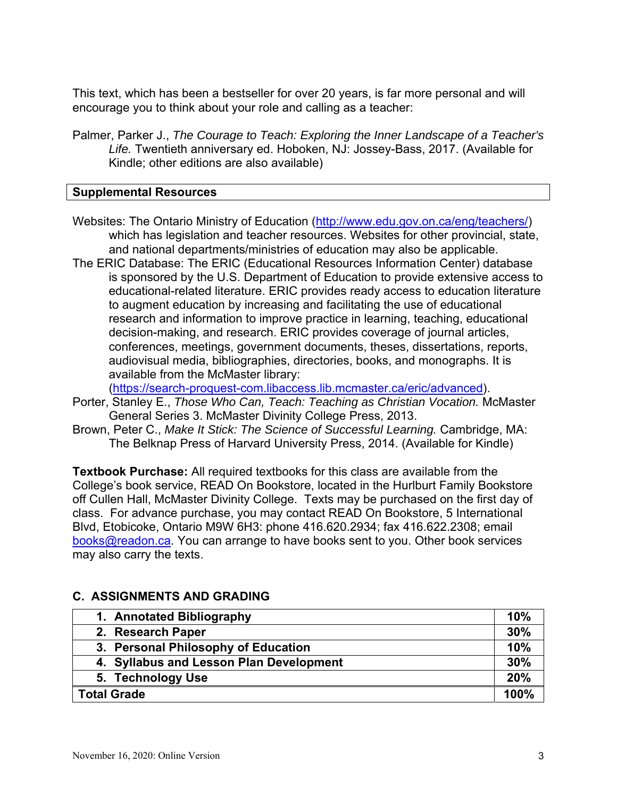This text, which has been a bestseller for over 20 years, is far more personal and will encourage you to think about your role and calling as a teacher:

Palmer, Parker J., *The Courage to Teach: Exploring the Inner Landscape of a Teacher's Life.* Twentieth anniversary ed. Hoboken, NJ: Jossey-Bass, 2017. (Available for Kindle; other editions are also available)

## **Supplemental Resources**

- Websites: The Ontario Ministry of Education (http://www.edu.gov.on.ca/eng/teachers/) which has legislation and teacher resources. Websites for other provincial, state, and national departments/ministries of education may also be applicable.
- The ERIC Database: The ERIC (Educational Resources Information Center) database is sponsored by the U.S. Department of Education to provide extensive access to educational-related literature. ERIC provides ready access to education literature to augment education by increasing and facilitating the use of educational research and information to improve practice in learning, teaching, educational decision-making, and research. ERIC provides coverage of journal articles, conferences, meetings, government documents, theses, dissertations, reports, audiovisual media, bibliographies, directories, books, and monographs. It is available from the McMaster library:

(https://search-proquest-com.libaccess.lib.mcmaster.ca/eric/advanced).

- Porter, Stanley E., *Those Who Can, Teach: Teaching as Christian Vocation.* McMaster General Series 3. McMaster Divinity College Press, 2013.
- Brown, Peter C., *Make It Stick: The Science of Successful Learning.* Cambridge, MA: The Belknap Press of Harvard University Press, 2014. (Available for Kindle)

**Textbook Purchase:** All required textbooks for this class are available from the College's book service, READ On Bookstore, located in the Hurlburt Family Bookstore off Cullen Hall, McMaster Divinity College. Texts may be purchased on the first day of class. For advance purchase, you may contact READ On Bookstore, 5 International Blvd, Etobicoke, Ontario M9W 6H3: phone 416.620.2934; fax 416.622.2308; email books@readon.ca. You can arrange to have books sent to you. Other book services may also carry the texts.

| 1. Annotated Bibliography               | 10% |  |  |  |
|-----------------------------------------|-----|--|--|--|
| 2. Research Paper                       | 30% |  |  |  |
| 3. Personal Philosophy of Education     | 10% |  |  |  |
| 4. Syllabus and Lesson Plan Development | 30% |  |  |  |
| 5. Technology Use                       | 20% |  |  |  |
| <b>Total Grade</b>                      |     |  |  |  |

# **C. ASSIGNMENTS AND GRADING**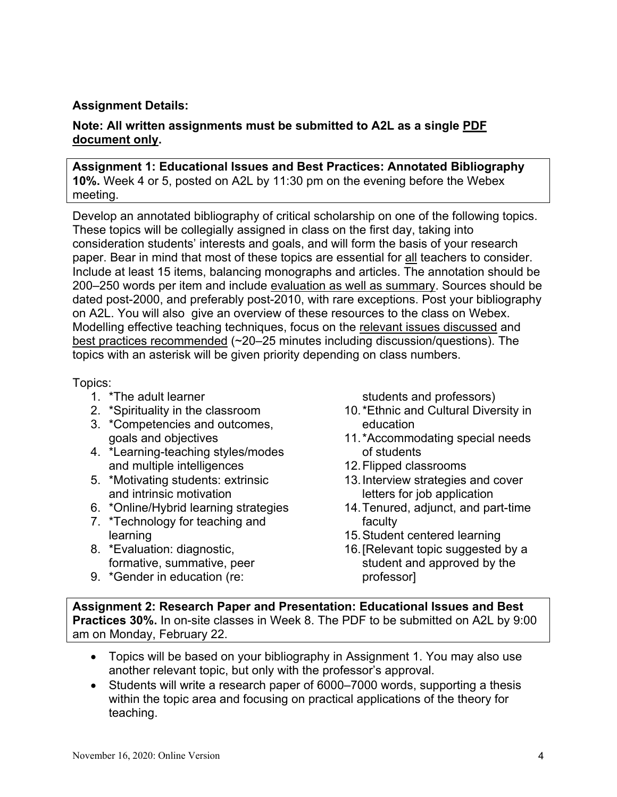# **Assignment Details:**

## **Note: All written assignments must be submitted to A2L as a single PDF document only.**

#### **Assignment 1: Educational Issues and Best Practices: Annotated Bibliography 10%.** Week 4 or 5, posted on A2L by 11:30 pm on the evening before the Webex meeting.

Develop an annotated bibliography of critical scholarship on one of the following topics. These topics will be collegially assigned in class on the first day, taking into consideration students' interests and goals, and will form the basis of your research paper. Bear in mind that most of these topics are essential for all teachers to consider. Include at least 15 items, balancing monographs and articles. The annotation should be 200–250 words per item and include evaluation as well as summary. Sources should be dated post-2000, and preferably post-2010, with rare exceptions. Post your bibliography on A2L. You will also give an overview of these resources to the class on Webex. Modelling effective teaching techniques, focus on the relevant issues discussed and best practices recommended (~20–25 minutes including discussion/questions). The topics with an asterisk will be given priority depending on class numbers.

#### Topics:

- 1. \*The adult learner
- 2. \*Spirituality in the classroom
- 3. \*Competencies and outcomes, goals and objectives
- 4. \*Learning-teaching styles/modes and multiple intelligences
- 5. \*Motivating students: extrinsic and intrinsic motivation
- 6. \*Online/Hybrid learning strategies
- 7. \*Technology for teaching and learning
- 8. \*Evaluation: diagnostic, formative, summative, peer
- 9. \*Gender in education (re:

students and professors)

- 10. \*Ethnic and Cultural Diversity in education
- 11. \*Accommodating special needs of students
- 12. Flipped classrooms
- 13. Interview strategies and cover letters for job application
- 14. Tenured, adjunct, and part-time faculty
- 15. Student centered learning
- 16. [Relevant topic suggested by a student and approved by the professor]

**Assignment 2: Research Paper and Presentation: Educational Issues and Best Practices 30%.** In on-site classes in Week 8. The PDF to be submitted on A2L by 9:00 am on Monday, February 22.

- Topics will be based on your bibliography in Assignment 1. You may also use another relevant topic, but only with the professor's approval.
- Students will write a research paper of 6000–7000 words, supporting a thesis within the topic area and focusing on practical applications of the theory for teaching.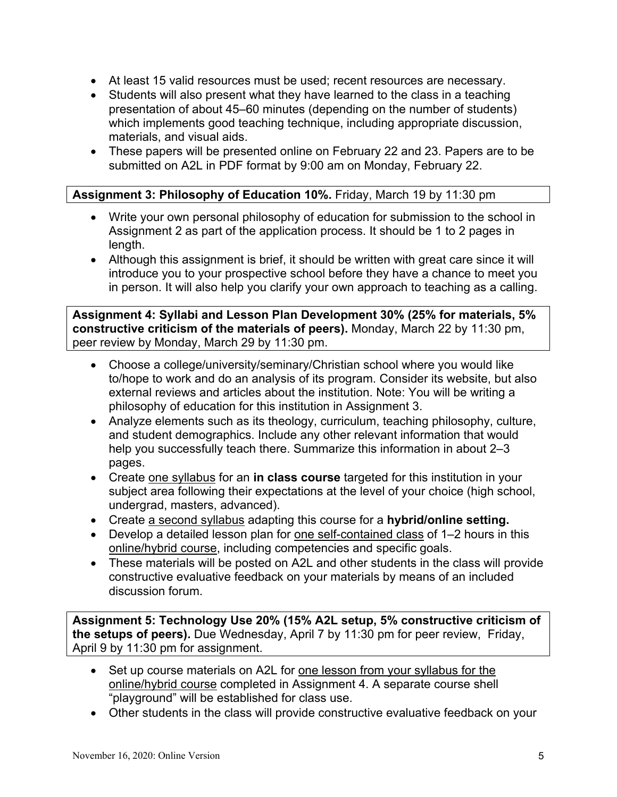- At least 15 valid resources must be used; recent resources are necessary.
- Students will also present what they have learned to the class in a teaching presentation of about 45–60 minutes (depending on the number of students) which implements good teaching technique, including appropriate discussion, materials, and visual aids.
- These papers will be presented online on February 22 and 23. Papers are to be submitted on A2L in PDF format by 9:00 am on Monday, February 22.

## **Assignment 3: Philosophy of Education 10%.** Friday, March 19 by 11:30 pm

- Write your own personal philosophy of education for submission to the school in Assignment 2 as part of the application process. It should be 1 to 2 pages in length.
- Although this assignment is brief, it should be written with great care since it will introduce you to your prospective school before they have a chance to meet you in person. It will also help you clarify your own approach to teaching as a calling.

**Assignment 4: Syllabi and Lesson Plan Development 30% (25% for materials, 5% constructive criticism of the materials of peers).** Monday, March 22 by 11:30 pm, peer review by Monday, March 29 by 11:30 pm.

- Choose a college/university/seminary/Christian school where you would like to/hope to work and do an analysis of its program. Consider its website, but also external reviews and articles about the institution. Note: You will be writing a philosophy of education for this institution in Assignment 3.
- Analyze elements such as its theology, curriculum, teaching philosophy, culture, and student demographics. Include any other relevant information that would help you successfully teach there. Summarize this information in about 2–3 pages.
- Create one syllabus for an **in class course** targeted for this institution in your subject area following their expectations at the level of your choice (high school, undergrad, masters, advanced).
- Create a second syllabus adapting this course for a **hybrid/online setting.**
- Develop a detailed lesson plan for one self-contained class of 1–2 hours in this online/hybrid course, including competencies and specific goals.
- These materials will be posted on A2L and other students in the class will provide constructive evaluative feedback on your materials by means of an included discussion forum.

**Assignment 5: Technology Use 20% (15% A2L setup, 5% constructive criticism of the setups of peers).** Due Wednesday, April 7 by 11:30 pm for peer review, Friday, April 9 by 11:30 pm for assignment.

- Set up course materials on A2L for one lesson from your syllabus for the online/hybrid course completed in Assignment 4. A separate course shell "playground" will be established for class use.
- Other students in the class will provide constructive evaluative feedback on your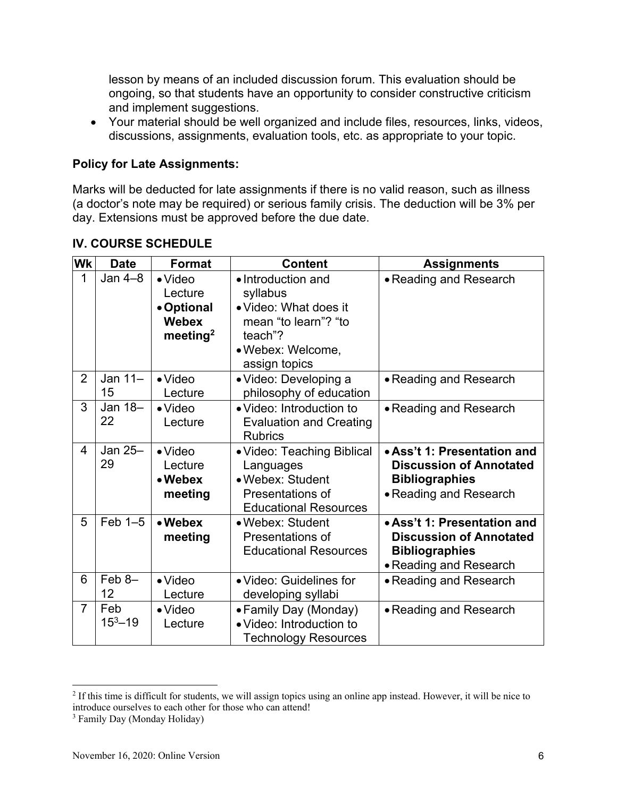lesson by means of an included discussion forum. This evaluation should be ongoing, so that students have an opportunity to consider constructive criticism and implement suggestions.

 Your material should be well organized and include files, resources, links, videos, discussions, assignments, evaluation tools, etc. as appropriate to your topic.

### **Policy for Late Assignments:**

Marks will be deducted for late assignments if there is no valid reason, such as illness (a doctor's note may be required) or serious family crisis. The deduction will be 3% per day. Extensions must be approved before the due date.

| Wk             | <b>Date</b>        | <b>Format</b>                                                                    | <b>Content</b>                                                                                                                   | <b>Assignments</b>                                                                                               |
|----------------|--------------------|----------------------------------------------------------------------------------|----------------------------------------------------------------------------------------------------------------------------------|------------------------------------------------------------------------------------------------------------------|
| 1              | Jan $4-8$          | $\bullet$ Video<br>Lecture<br>• Optional<br><b>Webex</b><br>meeting <sup>2</sup> | • Introduction and<br>syllabus<br>• Video: What does it<br>mean "to learn"? "to<br>teach"?<br>• Webex: Welcome,<br>assign topics | • Reading and Research                                                                                           |
| 2              | Jan $11-$<br>15    | $\bullet$ Video<br>Lecture                                                       | • Video: Developing a<br>philosophy of education                                                                                 | • Reading and Research                                                                                           |
| 3              | Jan 18-<br>22      | $\bullet$ Video<br>Lecture                                                       | • Video: Introduction to<br><b>Evaluation and Creating</b><br><b>Rubrics</b>                                                     | • Reading and Research                                                                                           |
| 4              | Jan 25-<br>29      | $\bullet$ Video<br>Lecture<br>• Webex<br>meeting                                 | • Video: Teaching Biblical<br>Languages<br>· Webex: Student<br>Presentations of<br><b>Educational Resources</b>                  | • Ass't 1: Presentation and<br><b>Discussion of Annotated</b><br><b>Bibliographies</b><br>• Reading and Research |
| 5              | $Feb 1-5$          | • Webex<br>meeting                                                               | • Webex: Student<br>Presentations of<br><b>Educational Resources</b>                                                             | • Ass't 1: Presentation and<br><b>Discussion of Annotated</b><br><b>Bibliographies</b><br>· Reading and Research |
| 6              | $Feb$ 8-<br>12     | $\bullet$ Video<br>Lecture                                                       | • Video: Guidelines for<br>developing syllabi                                                                                    | • Reading and Research                                                                                           |
| $\overline{7}$ | Feb<br>$15^3 - 19$ | $\bullet$ Video<br>Lecture                                                       | • Family Day (Monday)<br>· Video: Introduction to<br>Technology Resources                                                        | • Reading and Research                                                                                           |

# **IV. COURSE SCHEDULE**

<sup>&</sup>lt;sup>2</sup> If this time is difficult for students, we will assign topics using an online app instead. However, it will be nice to introduce ourselves to each other for those who can attend!

<sup>3</sup> Family Day (Monday Holiday)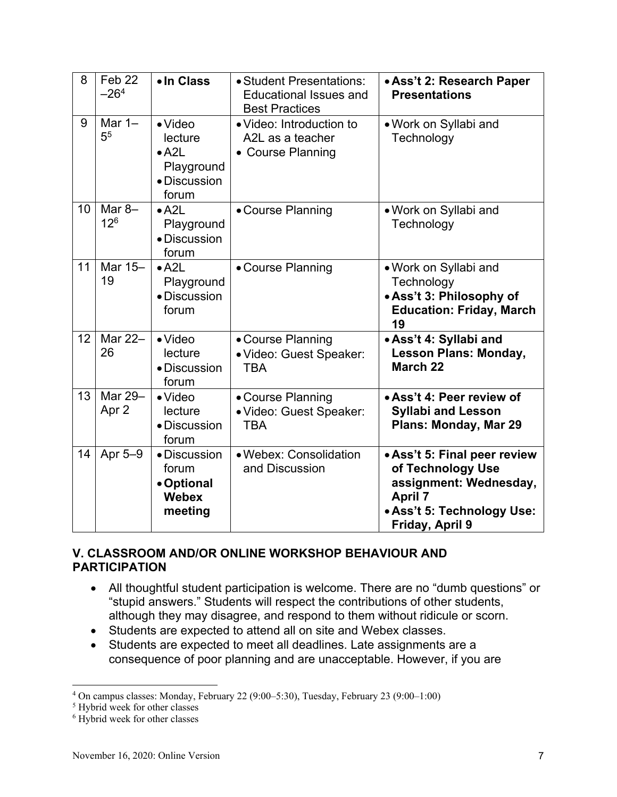| 8  | $\overline{\text{Feb}}$ 22<br>$-264$ | • In Class                                                                         | • Student Presentations:<br><b>Educational Issues and</b><br><b>Best Practices</b> | • Ass't 2: Research Paper<br><b>Presentations</b>                                                                                              |
|----|--------------------------------------|------------------------------------------------------------------------------------|------------------------------------------------------------------------------------|------------------------------------------------------------------------------------------------------------------------------------------------|
| 9  | Mar $1-$<br>5 <sup>5</sup>           | $\bullet$ Video<br>lecture<br>$\bullet$ A2L<br>Playground<br>• Discussion<br>forum | • Video: Introduction to<br>A2L as a teacher<br>• Course Planning                  | • Work on Syllabi and<br>Technology                                                                                                            |
| 10 | Mar $8-$<br>12 <sup>6</sup>          | $\bullet$ A2L<br>Playground<br>• Discussion<br>forum                               | • Course Planning                                                                  | . Work on Syllabi and<br>Technology                                                                                                            |
| 11 | Mar 15-<br>19                        | $\bullet$ A2L<br>Playground<br>· Discussion<br>forum                               | • Course Planning                                                                  | • Work on Syllabi and<br>Technology<br>. Ass't 3: Philosophy of<br><b>Education: Friday, March</b><br>19                                       |
| 12 | Mar 22-<br>26                        | $\bullet$ Video<br>lecture<br>• Discussion<br>forum                                | • Course Planning<br>· Video: Guest Speaker:<br><b>TBA</b>                         | • Ass't 4: Syllabi and<br><b>Lesson Plans: Monday,</b><br>March <sub>22</sub>                                                                  |
| 13 | Mar 29-<br>Apr 2                     | $\bullet$ Video<br>lecture<br>• Discussion<br>forum                                | • Course Planning<br>· Video: Guest Speaker:<br><b>TBA</b>                         | • Ass't 4: Peer review of<br><b>Syllabi and Lesson</b><br>Plans: Monday, Mar 29                                                                |
| 14 | Apr 5-9                              | · Discussion<br>forum<br>• Optional<br><b>Webex</b><br>meeting                     | • Webex: Consolidation<br>and Discussion                                           | • Ass't 5: Final peer review<br>of Technology Use<br>assignment: Wednesday,<br><b>April 7</b><br>• Ass't 5: Technology Use:<br>Friday, April 9 |

# **V. CLASSROOM AND/OR ONLINE WORKSHOP BEHAVIOUR AND PARTICIPATION**

- All thoughtful student participation is welcome. There are no "dumb questions" or "stupid answers." Students will respect the contributions of other students, although they may disagree, and respond to them without ridicule or scorn.
- Students are expected to attend all on site and Webex classes.
- Students are expected to meet all deadlines. Late assignments are a consequence of poor planning and are unacceptable. However, if you are

<sup>&</sup>lt;sup>4</sup> On campus classes: Monday, February 22 (9:00–5:30), Tuesday, February 23 (9:00–1:00)<br><sup>5</sup> Hybrid week for other classes

<sup>&</sup>lt;sup>5</sup> Hybrid week for other classes

<sup>6</sup> Hybrid week for other classes